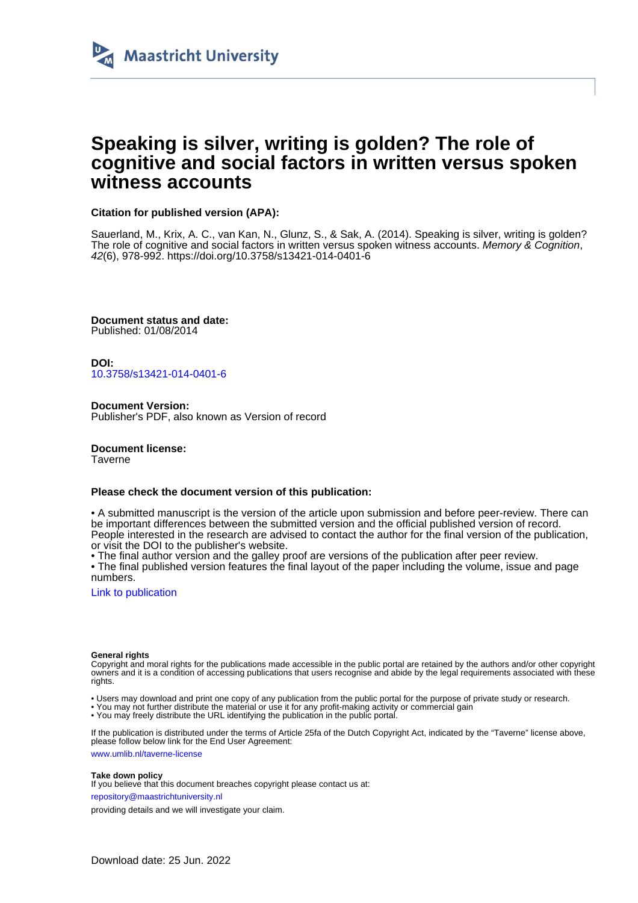

# **Speaking is silver, writing is golden? The role of cognitive and social factors in written versus spoken witness accounts**

# **Citation for published version (APA):**

Sauerland, M., Krix, A. C., van Kan, N., Glunz, S., & Sak, A. (2014). Speaking is silver, writing is golden? The role of cognitive and social factors in written versus spoken witness accounts. Memory & Cognition, 42(6), 978-992.<https://doi.org/10.3758/s13421-014-0401-6>

**Document status and date:** Published: 01/08/2014

**DOI:** [10.3758/s13421-014-0401-6](https://doi.org/10.3758/s13421-014-0401-6)

**Document Version:** Publisher's PDF, also known as Version of record

**Document license:** Taverne

# **Please check the document version of this publication:**

• A submitted manuscript is the version of the article upon submission and before peer-review. There can be important differences between the submitted version and the official published version of record. People interested in the research are advised to contact the author for the final version of the publication, or visit the DOI to the publisher's website.

• The final author version and the galley proof are versions of the publication after peer review.

• The final published version features the final layout of the paper including the volume, issue and page numbers.

[Link to publication](https://cris.maastrichtuniversity.nl/en/publications/a9d800cb-4dd0-4a1d-8d97-3924643aa557)

## **General rights**

Copyright and moral rights for the publications made accessible in the public portal are retained by the authors and/or other copyright owners and it is a condition of accessing publications that users recognise and abide by the legal requirements associated with these rights.

• Users may download and print one copy of any publication from the public portal for the purpose of private study or research.

• You may not further distribute the material or use it for any profit-making activity or commercial gain

• You may freely distribute the URL identifying the publication in the public portal.

If the publication is distributed under the terms of Article 25fa of the Dutch Copyright Act, indicated by the "Taverne" license above, please follow below link for the End User Agreement:

www.umlib.nl/taverne-license

## **Take down policy**

If you believe that this document breaches copyright please contact us at:

repository@maastrichtuniversity.nl

providing details and we will investigate your claim.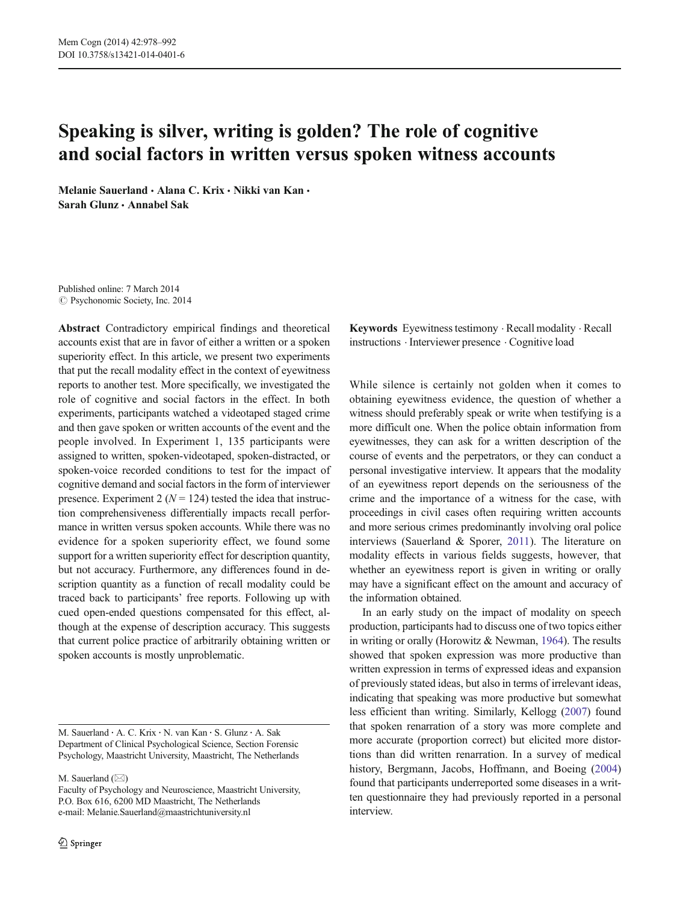# Speaking is silver, writing is golden? The role of cognitive and social factors in written versus spoken witness accounts

Melanie Sauerland · Alana C. Krix · Nikki van Kan · Sarah Glunz · Annabel Sak

Published online: 7 March 2014  $\odot$  Psychonomic Society, Inc. 2014

Abstract Contradictory empirical findings and theoretical accounts exist that are in favor of either a written or a spoken superiority effect. In this article, we present two experiments that put the recall modality effect in the context of eyewitness reports to another test. More specifically, we investigated the role of cognitive and social factors in the effect. In both experiments, participants watched a videotaped staged crime and then gave spoken or written accounts of the event and the people involved. In Experiment 1, 135 participants were assigned to written, spoken-videotaped, spoken-distracted, or spoken-voice recorded conditions to test for the impact of cognitive demand and social factors in the form of interviewer presence. Experiment 2 ( $N = 124$ ) tested the idea that instruction comprehensiveness differentially impacts recall performance in written versus spoken accounts. While there was no evidence for a spoken superiority effect, we found some support for a written superiority effect for description quantity, but not accuracy. Furthermore, any differences found in description quantity as a function of recall modality could be traced back to participants' free reports. Following up with cued open-ended questions compensated for this effect, although at the expense of description accuracy. This suggests that current police practice of arbitrarily obtaining written or spoken accounts is mostly unproblematic.

M. Sauerland  $(\boxtimes)$ 

Keywords Eyewitness testimony . Recall modality . Recall instructions . Interviewer presence . Cognitive load

While silence is certainly not golden when it comes to obtaining eyewitness evidence, the question of whether a witness should preferably speak or write when testifying is a more difficult one. When the police obtain information from eyewitnesses, they can ask for a written description of the course of events and the perpetrators, or they can conduct a personal investigative interview. It appears that the modality of an eyewitness report depends on the seriousness of the crime and the importance of a witness for the case, with proceedings in civil cases often requiring written accounts and more serious crimes predominantly involving oral police interviews (Sauerland & Sporer, [2011](#page-15-0)). The literature on modality effects in various fields suggests, however, that whether an eyewitness report is given in writing or orally may have a significant effect on the amount and accuracy of the information obtained.

In an early study on the impact of modality on speech production, participants had to discuss one of two topics either in writing or orally (Horowitz & Newman, [1964\)](#page-14-0). The results showed that spoken expression was more productive than written expression in terms of expressed ideas and expansion of previously stated ideas, but also in terms of irrelevant ideas, indicating that speaking was more productive but somewhat less efficient than writing. Similarly, Kellogg ([2007](#page-14-0)) found that spoken renarration of a story was more complete and more accurate (proportion correct) but elicited more distortions than did written renarration. In a survey of medical history, Bergmann, Jacobs, Hoffmann, and Boeing [\(2004](#page-14-0)) found that participants underreported some diseases in a written questionnaire they had previously reported in a personal interview.

M. Sauerland : A. C. Krix : N. van Kan : S. Glunz : A. Sak Department of Clinical Psychological Science, Section Forensic Psychology, Maastricht University, Maastricht, The Netherlands

Faculty of Psychology and Neuroscience, Maastricht University, P.O. Box 616, 6200 MD Maastricht, The Netherlands e-mail: Melanie.Sauerland@maastrichtuniversity.nl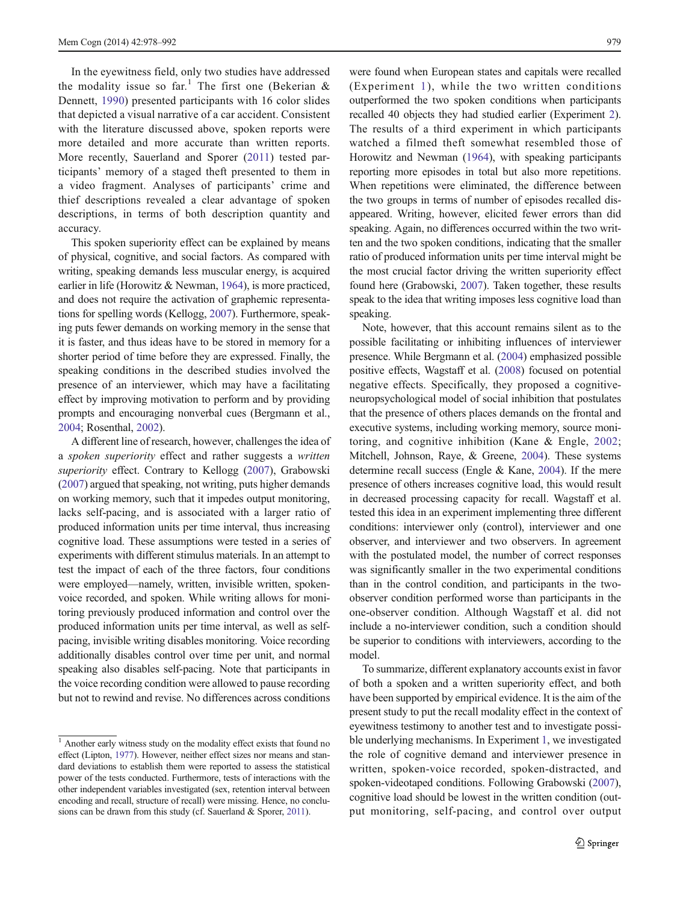In the eyewitness field, only two studies have addressed the modality issue so far.<sup>1</sup> The first one (Bekerian  $\&$ Dennett, [1990](#page-14-0)) presented participants with 16 color slides that depicted a visual narrative of a car accident. Consistent with the literature discussed above, spoken reports were more detailed and more accurate than written reports. More recently, Sauerland and Sporer ([2011\)](#page-15-0) tested participants' memory of a staged theft presented to them in a video fragment. Analyses of participants' crime and thief descriptions revealed a clear advantage of spoken descriptions, in terms of both description quantity and accuracy.

This spoken superiority effect can be explained by means of physical, cognitive, and social factors. As compared with writing, speaking demands less muscular energy, is acquired earlier in life (Horowitz & Newman, [1964](#page-14-0)), is more practiced, and does not require the activation of graphemic representations for spelling words (Kellogg, [2007](#page-14-0)). Furthermore, speaking puts fewer demands on working memory in the sense that it is faster, and thus ideas have to be stored in memory for a shorter period of time before they are expressed. Finally, the speaking conditions in the described studies involved the presence of an interviewer, which may have a facilitating effect by improving motivation to perform and by providing prompts and encouraging nonverbal cues (Bergmann et al., [2004;](#page-14-0) Rosenthal, [2002](#page-15-0)).

A different line of research, however, challenges the idea of a spoken superiority effect and rather suggests a written superiority effect. Contrary to Kellogg [\(2007](#page-14-0)), Grabowski [\(2007\)](#page-14-0) argued that speaking, not writing, puts higher demands on working memory, such that it impedes output monitoring, lacks self-pacing, and is associated with a larger ratio of produced information units per time interval, thus increasing cognitive load. These assumptions were tested in a series of experiments with different stimulus materials. In an attempt to test the impact of each of the three factors, four conditions were employed—namely, written, invisible written, spokenvoice recorded, and spoken. While writing allows for monitoring previously produced information and control over the produced information units per time interval, as well as selfpacing, invisible writing disables monitoring. Voice recording additionally disables control over time per unit, and normal speaking also disables self-pacing. Note that participants in the voice recording condition were allowed to pause recording but not to rewind and revise. No differences across conditions

were found when European states and capitals were recalled (Experiment [1](#page-3-0)), while the two written conditions outperformed the two spoken conditions when participants recalled 40 objects they had studied earlier (Experiment [2\)](#page-8-0). The results of a third experiment in which participants watched a filmed theft somewhat resembled those of Horowitz and Newman ([1964](#page-14-0)), with speaking participants reporting more episodes in total but also more repetitions. When repetitions were eliminated, the difference between the two groups in terms of number of episodes recalled disappeared. Writing, however, elicited fewer errors than did speaking. Again, no differences occurred within the two written and the two spoken conditions, indicating that the smaller ratio of produced information units per time interval might be the most crucial factor driving the written superiority effect found here (Grabowski, [2007](#page-14-0)). Taken together, these results speak to the idea that writing imposes less cognitive load than speaking.

Note, however, that this account remains silent as to the possible facilitating or inhibiting influences of interviewer presence. While Bergmann et al. ([2004](#page-14-0)) emphasized possible positive effects, Wagstaff et al. ([2008](#page-15-0)) focused on potential negative effects. Specifically, they proposed a cognitiveneuropsychological model of social inhibition that postulates that the presence of others places demands on the frontal and executive systems, including working memory, source monitoring, and cognitive inhibition (Kane & Engle, [2002;](#page-14-0) Mitchell, Johnson, Raye, & Greene, [2004](#page-15-0)). These systems determine recall success (Engle & Kane, [2004](#page-14-0)). If the mere presence of others increases cognitive load, this would result in decreased processing capacity for recall. Wagstaff et al. tested this idea in an experiment implementing three different conditions: interviewer only (control), interviewer and one observer, and interviewer and two observers. In agreement with the postulated model, the number of correct responses was significantly smaller in the two experimental conditions than in the control condition, and participants in the twoobserver condition performed worse than participants in the one-observer condition. Although Wagstaff et al. did not include a no-interviewer condition, such a condition should be superior to conditions with interviewers, according to the model.

To summarize, different explanatory accounts exist in favor of both a spoken and a written superiority effect, and both have been supported by empirical evidence. It is the aim of the present study to put the recall modality effect in the context of eyewitness testimony to another test and to investigate possible underlying mechanisms. In Experiment [1](#page-3-0), we investigated the role of cognitive demand and interviewer presence in written, spoken-voice recorded, spoken-distracted, and spoken-videotaped conditions. Following Grabowski [\(2007\)](#page-14-0), cognitive load should be lowest in the written condition (output monitoring, self-pacing, and control over output

<sup>&</sup>lt;sup>1</sup> Another early witness study on the modality effect exists that found no effect (Lipton, [1977](#page-15-0)). However, neither effect sizes nor means and standard deviations to establish them were reported to assess the statistical power of the tests conducted. Furthermore, tests of interactions with the other independent variables investigated (sex, retention interval between encoding and recall, structure of recall) were missing. Hence, no conclusions can be drawn from this study (cf. Sauerland & Sporer, [2011\)](#page-15-0).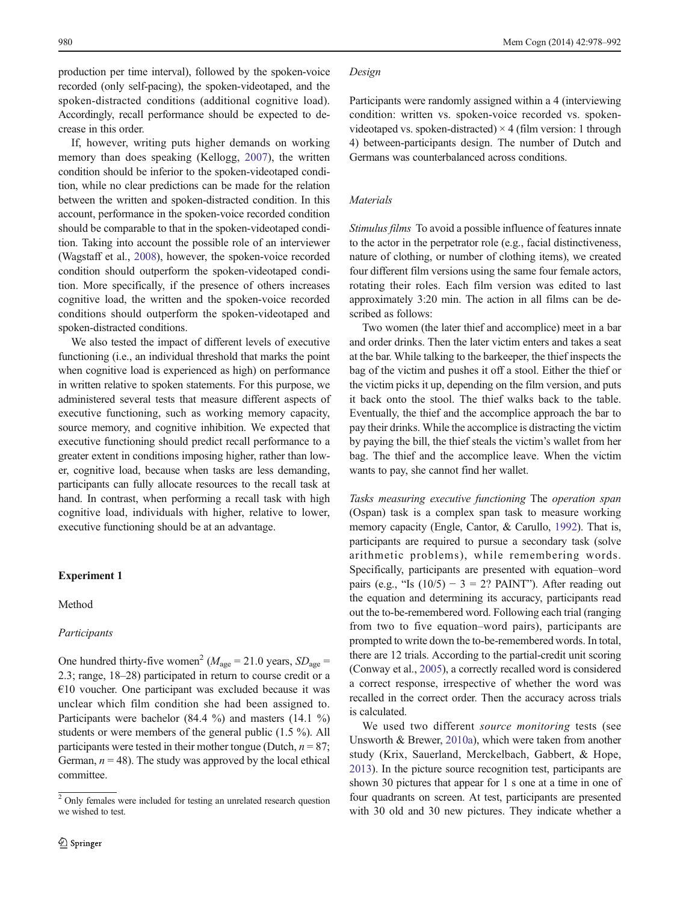<span id="page-3-0"></span>production per time interval), followed by the spoken-voice recorded (only self-pacing), the spoken-videotaped, and the spoken-distracted conditions (additional cognitive load). Accordingly, recall performance should be expected to decrease in this order.

If, however, writing puts higher demands on working memory than does speaking (Kellogg, [2007\)](#page-14-0), the written condition should be inferior to the spoken-videotaped condition, while no clear predictions can be made for the relation between the written and spoken-distracted condition. In this account, performance in the spoken-voice recorded condition should be comparable to that in the spoken-videotaped condition. Taking into account the possible role of an interviewer (Wagstaff et al., [2008](#page-15-0)), however, the spoken-voice recorded condition should outperform the spoken-videotaped condition. More specifically, if the presence of others increases cognitive load, the written and the spoken-voice recorded conditions should outperform the spoken-videotaped and spoken-distracted conditions.

We also tested the impact of different levels of executive functioning (i.e., an individual threshold that marks the point when cognitive load is experienced as high) on performance in written relative to spoken statements. For this purpose, we administered several tests that measure different aspects of executive functioning, such as working memory capacity, source memory, and cognitive inhibition. We expected that executive functioning should predict recall performance to a greater extent in conditions imposing higher, rather than lower, cognitive load, because when tasks are less demanding, participants can fully allocate resources to the recall task at hand. In contrast, when performing a recall task with high cognitive load, individuals with higher, relative to lower, executive functioning should be at an advantage.

# Experiment 1

Method

# Participants

One hundred thirty-five women<sup>2</sup> ( $M_{\text{age}} = 21.0$  years,  $SD_{\text{age}} =$ 2.3; range, 18–28) participated in return to course credit or a €10 voucher. One participant was excluded because it was unclear which film condition she had been assigned to. Participants were bachelor (84.4 %) and masters (14.1 %) students or were members of the general public (1.5 %). All participants were tested in their mother tongue (Dutch,  $n = 87$ ; German,  $n = 48$ ). The study was approved by the local ethical committee.

#### Design

Participants were randomly assigned within a 4 (interviewing condition: written vs. spoken-voice recorded vs. spokenvideotaped vs. spoken-distracted)  $\times$  4 (film version: 1 through 4) between-participants design. The number of Dutch and Germans was counterbalanced across conditions.

# **Materials**

Stimulus films To avoid a possible influence of features innate to the actor in the perpetrator role (e.g., facial distinctiveness, nature of clothing, or number of clothing items), we created four different film versions using the same four female actors, rotating their roles. Each film version was edited to last approximately 3:20 min. The action in all films can be described as follows:

Two women (the later thief and accomplice) meet in a bar and order drinks. Then the later victim enters and takes a seat at the bar. While talking to the barkeeper, the thief inspects the bag of the victim and pushes it off a stool. Either the thief or the victim picks it up, depending on the film version, and puts it back onto the stool. The thief walks back to the table. Eventually, the thief and the accomplice approach the bar to pay their drinks. While the accomplice is distracting the victim by paying the bill, the thief steals the victim's wallet from her bag. The thief and the accomplice leave. When the victim wants to pay, she cannot find her wallet.

Tasks measuring executive functioning The operation span (Ospan) task is a complex span task to measure working memory capacity (Engle, Cantor, & Carullo, [1992\)](#page-14-0). That is, participants are required to pursue a secondary task (solve arithmetic problems), while remembering words. Specifically, participants are presented with equation–word pairs (e.g., "Is  $(10/5) - 3 = 2$ ? PAINT"). After reading out the equation and determining its accuracy, participants read out the to-be-remembered word. Following each trial (ranging from two to five equation–word pairs), participants are prompted to write down the to-be-remembered words. In total, there are 12 trials. According to the partial-credit unit scoring (Conway et al., [2005](#page-14-0)), a correctly recalled word is considered a correct response, irrespective of whether the word was recalled in the correct order. Then the accuracy across trials is calculated.

We used two different source monitoring tests (see Unsworth & Brewer, [2010a](#page-15-0)), which were taken from another study (Krix, Sauerland, Merckelbach, Gabbert, & Hope, [2013\)](#page-14-0). In the picture source recognition test, participants are shown 30 pictures that appear for 1 s one at a time in one of four quadrants on screen. At test, participants are presented with 30 old and 30 new pictures. They indicate whether a

 $\sqrt[2]{2}$  Only females were included for testing an unrelated research question we wished to test.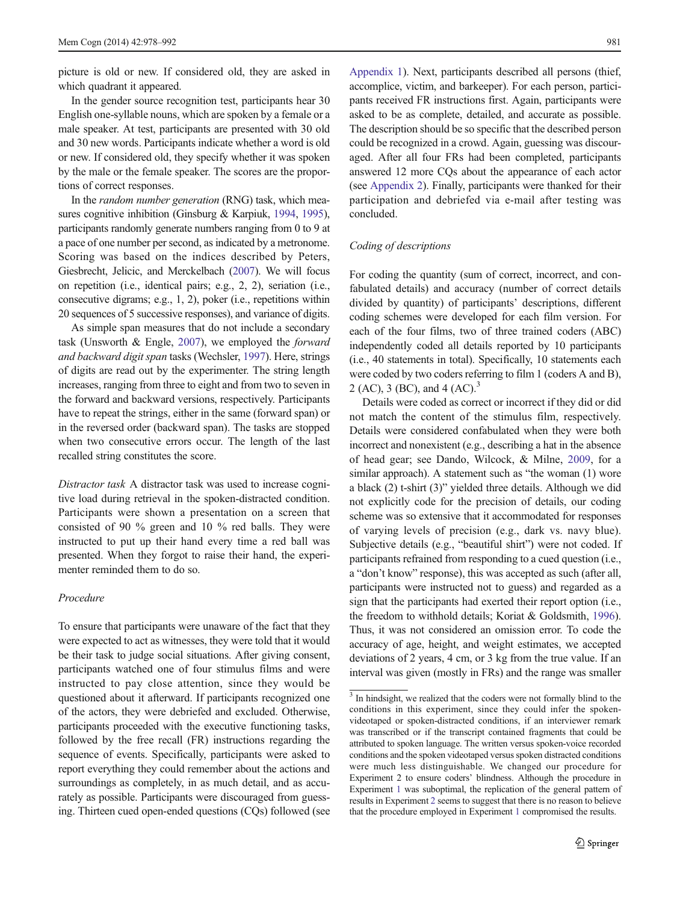picture is old or new. If considered old, they are asked in which quadrant it appeared.

In the gender source recognition test, participants hear 30 English one-syllable nouns, which are spoken by a female or a male speaker. At test, participants are presented with 30 old and 30 new words. Participants indicate whether a word is old or new. If considered old, they specify whether it was spoken by the male or the female speaker. The scores are the proportions of correct responses.

In the random number generation (RNG) task, which measures cognitive inhibition (Ginsburg & Karpiuk, [1994](#page-14-0), [1995\)](#page-14-0), participants randomly generate numbers ranging from 0 to 9 at a pace of one number per second, as indicated by a metronome. Scoring was based on the indices described by Peters, Giesbrecht, Jelicic, and Merckelbach [\(2007](#page-15-0)). We will focus on repetition (i.e., identical pairs; e.g., 2, 2), seriation (i.e., consecutive digrams; e.g., 1, 2), poker (i.e., repetitions within 20 sequences of 5 successive responses), and variance of digits.

As simple span measures that do not include a secondary task (Unsworth & Engle, [2007\)](#page-15-0), we employed the forward and backward digit span tasks (Wechsler, [1997](#page-15-0)). Here, strings of digits are read out by the experimenter. The string length increases, ranging from three to eight and from two to seven in the forward and backward versions, respectively. Participants have to repeat the strings, either in the same (forward span) or in the reversed order (backward span). The tasks are stopped when two consecutive errors occur. The length of the last recalled string constitutes the score.

Distractor task A distractor task was used to increase cognitive load during retrieval in the spoken-distracted condition. Participants were shown a presentation on a screen that consisted of 90 % green and 10 % red balls. They were instructed to put up their hand every time a red ball was presented. When they forgot to raise their hand, the experimenter reminded them to do so.

# Procedure

To ensure that participants were unaware of the fact that they were expected to act as witnesses, they were told that it would be their task to judge social situations. After giving consent, participants watched one of four stimulus films and were instructed to pay close attention, since they would be questioned about it afterward. If participants recognized one of the actors, they were debriefed and excluded. Otherwise, participants proceeded with the executive functioning tasks, followed by the free recall (FR) instructions regarding the sequence of events. Specifically, participants were asked to report everything they could remember about the actions and surroundings as completely, in as much detail, and as accurately as possible. Participants were discouraged from guessing. Thirteen cued open-ended questions (CQs) followed (see

[Appendix 1\)](#page-13-0). Next, participants described all persons (thief, accomplice, victim, and barkeeper). For each person, participants received FR instructions first. Again, participants were asked to be as complete, detailed, and accurate as possible. The description should be so specific that the described person could be recognized in a crowd. Again, guessing was discouraged. After all four FRs had been completed, participants answered 12 more CQs about the appearance of each actor (see [Appendix 2](#page-14-0)). Finally, participants were thanked for their participation and debriefed via e-mail after testing was concluded.

#### Coding of descriptions

For coding the quantity (sum of correct, incorrect, and confabulated details) and accuracy (number of correct details divided by quantity) of participants' descriptions, different coding schemes were developed for each film version. For each of the four films, two of three trained coders (ABC) independently coded all details reported by 10 participants (i.e., 40 statements in total). Specifically, 10 statements each were coded by two coders referring to film 1 (coders A and B), 2 (AC), 3 (BC), and 4 (AC).<sup>3</sup>

Details were coded as correct or incorrect if they did or did not match the content of the stimulus film, respectively. Details were considered confabulated when they were both incorrect and nonexistent (e.g., describing a hat in the absence of head gear; see Dando, Wilcock, & Milne, [2009](#page-14-0), for a similar approach). A statement such as "the woman (1) wore a black (2) t-shirt (3)" yielded three details. Although we did not explicitly code for the precision of details, our coding scheme was so extensive that it accommodated for responses of varying levels of precision (e.g., dark vs. navy blue). Subjective details (e.g., "beautiful shirt") were not coded. If participants refrained from responding to a cued question (i.e., a "don't know" response), this was accepted as such (after all, participants were instructed not to guess) and regarded as a sign that the participants had exerted their report option (i.e., the freedom to withhold details; Koriat & Goldsmith, [1996\)](#page-14-0). Thus, it was not considered an omission error. To code the accuracy of age, height, and weight estimates, we accepted deviations of 2 years, 4 cm, or 3 kg from the true value. If an interval was given (mostly in FRs) and the range was smaller

<sup>&</sup>lt;sup>3</sup> In hindsight, we realized that the coders were not formally blind to the conditions in this experiment, since they could infer the spokenvideotaped or spoken-distracted conditions, if an interviewer remark was transcribed or if the transcript contained fragments that could be attributed to spoken language. The written versus spoken-voice recorded conditions and the spoken videotaped versus spoken distracted conditions were much less distinguishable. We changed our procedure for Experiment 2 to ensure coders' blindness. Although the procedure in Experiment [1](#page-3-0) was suboptimal, the replication of the general pattern of results in Experiment [2](#page-8-0) seems to suggest that there is no reason to believe that the procedure employed in Experiment [1](#page-3-0) compromised the results.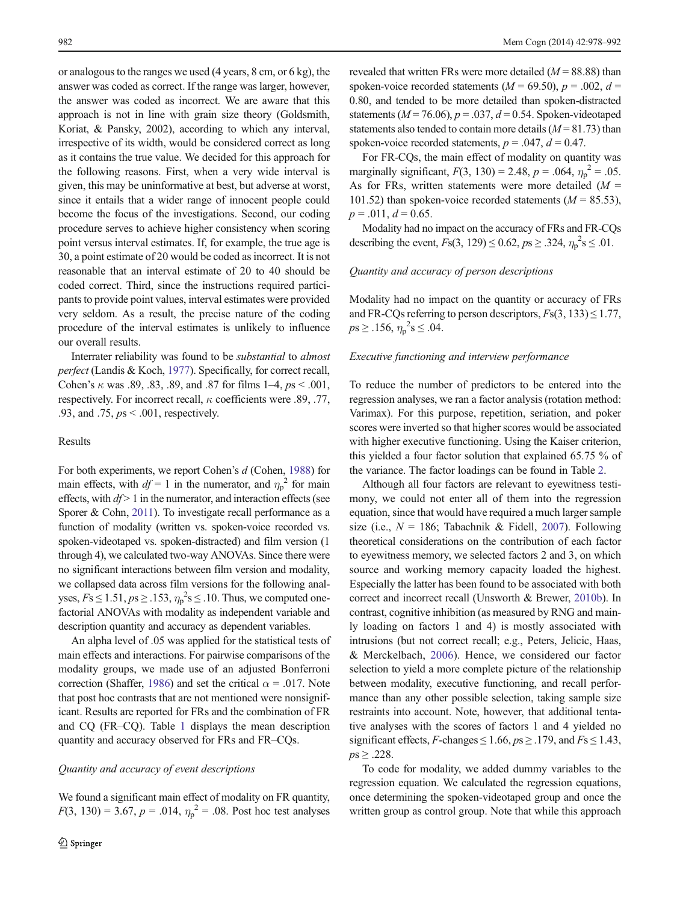or analogous to the ranges we used (4 years, 8 cm, or 6 kg), the answer was coded as correct. If the range was larger, however, the answer was coded as incorrect. We are aware that this approach is not in line with grain size theory (Goldsmith, Koriat, & Pansky, 2002), according to which any interval, irrespective of its width, would be considered correct as long as it contains the true value. We decided for this approach for the following reasons. First, when a very wide interval is given, this may be uninformative at best, but adverse at worst, since it entails that a wider range of innocent people could become the focus of the investigations. Second, our coding procedure serves to achieve higher consistency when scoring point versus interval estimates. If, for example, the true age is 30, a point estimate of 20 would be coded as incorrect. It is not reasonable that an interval estimate of 20 to 40 should be coded correct. Third, since the instructions required participants to provide point values, interval estimates were provided very seldom. As a result, the precise nature of the coding procedure of the interval estimates is unlikely to influence our overall results.

Interrater reliability was found to be substantial to almost perfect (Landis & Koch, [1977](#page-14-0)). Specifically, for correct recall, Cohen's  $\kappa$  was .89, .83, .89, and .87 for films 1–4,  $ps < .001$ , respectively. For incorrect recall,  $\kappa$  coefficients were .89, .77, .93, and .75, ps < .001, respectively.

#### Results

For both experiments, we report Cohen's d (Cohen, [1988](#page-14-0)) for main effects, with  $df = 1$  in the numerator, and  $\eta_p^2$  for main effects, with  $df > 1$  in the numerator, and interaction effects (see Sporer & Cohn, [2011\)](#page-15-0). To investigate recall performance as a function of modality (written vs. spoken-voice recorded vs. spoken-videotaped vs. spoken-distracted) and film version (1 through 4), we calculated two-way ANOVAs. Since there were no significant interactions between film version and modality, we collapsed data across film versions for the following analyses,  $Fs \le 1.51$ ,  $ps \ge .153$ ,  $\eta_p^2 s \le .10$ . Thus, we computed onefactorial ANOVAs with modality as independent variable and description quantity and accuracy as dependent variables.

An alpha level of .05 was applied for the statistical tests of main effects and interactions. For pairwise comparisons of the modality groups, we made use of an adjusted Bonferroni correction (Shaffer, [1986\)](#page-15-0) and set the critical  $\alpha = .017$ . Note that post hoc contrasts that are not mentioned were nonsignificant. Results are reported for FRs and the combination of FR and CQ (FR–CQ). Table [1](#page-6-0) displays the mean description quantity and accuracy observed for FRs and FR–CQs.

## Quantity and accuracy of event descriptions

We found a significant main effect of modality on FR quantity,  $F(3, 130) = 3.67, p = .014, \eta_p^2 = .08$ . Post hoc test analyses revealed that written FRs were more detailed  $(M = 88.88)$  than spoken-voice recorded statements ( $M = 69.50$ ),  $p = .002$ ,  $d =$ 0.80, and tended to be more detailed than spoken-distracted statements ( $M = 76.06$ ),  $p = .037$ ,  $d = 0.54$ . Spoken-videotaped statements also tended to contain more details  $(M = 81.73)$  than spoken-voice recorded statements,  $p = .047$ ,  $d = 0.47$ .

For FR-CQs, the main effect of modality on quantity was marginally significant,  $F(3, 130) = 2.48$ ,  $p = .064$ ,  $\eta_p^2 = .05$ . As for FRs, written statements were more detailed  $(M =$ 101.52) than spoken-voice recorded statements ( $M = 85.53$ ),  $p = .011, d = 0.65.$ 

Modality had no impact on the accuracy of FRs and FR-CQs describing the event,  $Fs(3, 129) \le 0.62$ ,  $ps \ge 0.324$ ,  $\eta_p^2 s \le 0.01$ .

# Quantity and accuracy of person descriptions

Modality had no impact on the quantity or accuracy of FRs and FR-CQs referring to person descriptors,  $Fs(3, 133) \le 1.77$ ,  $ps \geq .156, \eta_p^2 s \leq .04.$ 

# Executive functioning and interview performance

To reduce the number of predictors to be entered into the regression analyses, we ran a factor analysis (rotation method: Varimax). For this purpose, repetition, seriation, and poker scores were inverted so that higher scores would be associated with higher executive functioning. Using the Kaiser criterion, this yielded a four factor solution that explained 65.75 % of the variance. The factor loadings can be found in Table [2.](#page-6-0)

Although all four factors are relevant to eyewitness testimony, we could not enter all of them into the regression equation, since that would have required a much larger sample size (i.e.,  $N = 186$ ; Tabachnik & Fidell, [2007](#page-15-0)). Following theoretical considerations on the contribution of each factor to eyewitness memory, we selected factors 2 and 3, on which source and working memory capacity loaded the highest. Especially the latter has been found to be associated with both correct and incorrect recall (Unsworth & Brewer, [2010b\)](#page-15-0). In contrast, cognitive inhibition (as measured by RNG and mainly loading on factors 1 and 4) is mostly associated with intrusions (but not correct recall; e.g., Peters, Jelicic, Haas, & Merckelbach, [2006](#page-15-0)). Hence, we considered our factor selection to yield a more complete picture of the relationship between modality, executive functioning, and recall performance than any other possible selection, taking sample size restraints into account. Note, however, that additional tentative analyses with the scores of factors 1 and 4 yielded no significant effects, F-changes  $\leq 1.66$ ,  $ps \geq .179$ , and  $Fs \leq 1.43$ ,  $ps \geq .228$ .

To code for modality, we added dummy variables to the regression equation. We calculated the regression equations, once determining the spoken-videotaped group and once the written group as control group. Note that while this approach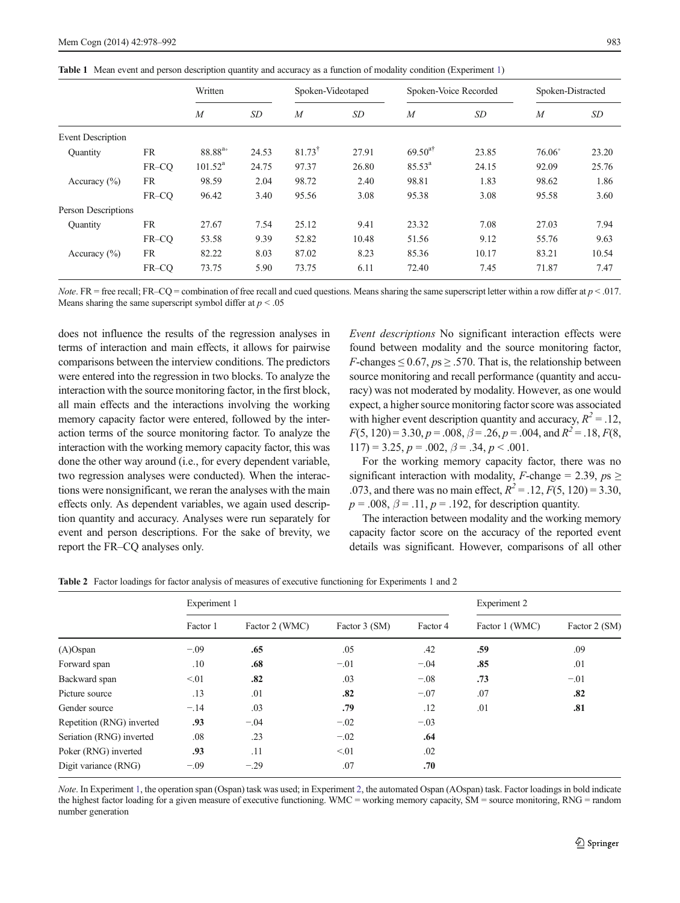<span id="page-6-0"></span>

|  |  |  |  | <b>Table 1</b> Mean event and person description quantity and accuracy as a function of modality condition (Experiment 1) |  |
|--|--|--|--|---------------------------------------------------------------------------------------------------------------------------|--|
|--|--|--|--|---------------------------------------------------------------------------------------------------------------------------|--|

|                          |       | Written          |       | Spoken-Videotaped |       | Spoken-Voice Recorded |       | Spoken-Distracted |       |
|--------------------------|-------|------------------|-------|-------------------|-------|-----------------------|-------|-------------------|-------|
|                          |       | $\overline{M}$   | SD    | $\overline{M}$    | SD    | M                     | SD    | $\boldsymbol{M}$  | SD    |
| <b>Event Description</b> |       |                  |       |                   |       |                       |       |                   |       |
| Ouantity                 | FR    | $88.88^{a}$      | 24.53 | $81.73^{\dagger}$ | 27.91 | $69.50^{a\dagger}$    | 23.85 | $76.06^{\circ}$   | 23.20 |
|                          | FR-CO | $101.52^{\rm a}$ | 24.75 | 97.37             | 26.80 | $85.53^{\rm a}$       | 24.15 | 92.09             | 25.76 |
| Accuracy $(\% )$         | FR    | 98.59            | 2.04  | 98.72             | 2.40  | 98.81                 | 1.83  | 98.62             | 1.86  |
|                          | FR-CO | 96.42            | 3.40  | 95.56             | 3.08  | 95.38                 | 3.08  | 95.58             | 3.60  |
| Person Descriptions      |       |                  |       |                   |       |                       |       |                   |       |
| <b>Quantity</b>          | FR    | 27.67            | 7.54  | 25.12             | 9.41  | 23.32                 | 7.08  | 27.03             | 7.94  |
|                          | FR-CO | 53.58            | 9.39  | 52.82             | 10.48 | 51.56                 | 9.12  | 55.76             | 9.63  |
| Accuracy $(\% )$         | FR    | 82.22            | 8.03  | 87.02             | 8.23  | 85.36                 | 10.17 | 83.21             | 10.54 |
|                          | FR-CO | 73.75            | 5.90  | 73.75             | 6.11  | 72.40                 | 7.45  | 71.87             | 7.47  |

Note. FR = free recall; FR–CQ = combination of free recall and cued questions. Means sharing the same superscript letter within a row differ at  $p < .017$ . Means sharing the same superscript symbol differ at  $p < .05$ 

does not influence the results of the regression analyses in terms of interaction and main effects, it allows for pairwise comparisons between the interview conditions. The predictors were entered into the regression in two blocks. To analyze the interaction with the source monitoring factor, in the first block, all main effects and the interactions involving the working memory capacity factor were entered, followed by the interaction terms of the source monitoring factor. To analyze the interaction with the working memory capacity factor, this was done the other way around (i.e., for every dependent variable, two regression analyses were conducted). When the interactions were nonsignificant, we reran the analyses with the main effects only. As dependent variables, we again used description quantity and accuracy. Analyses were run separately for event and person descriptions. For the sake of brevity, we report the FR–CQ analyses only.

Event descriptions No significant interaction effects were found between modality and the source monitoring factor, F-changes  $\leq$  0.67,  $ps \geq$  .570. That is, the relationship between source monitoring and recall performance (quantity and accuracy) was not moderated by modality. However, as one would expect, a higher source monitoring factor score was associated with higher event description quantity and accuracy,  $R^2 = .12$ ,  $F(5, 120) = 3.30, p = .008, \beta = .26, p = .004, \text{ and } R^2 = .18, F(8,$  $117$ ) = 3.25, p = .002,  $\beta$  = .34, p < .001.

For the working memory capacity factor, there was no significant interaction with modality, F-change = 2.39,  $ps \geq$ .073, and there was no main effect,  $R^2 = .12$ ,  $F(5, 120) = 3.30$ ,  $p = .008$ ,  $\beta = .11$ ,  $p = .192$ , for description quantity.

The interaction between modality and the working memory capacity factor score on the accuracy of the reported event details was significant. However, comparisons of all other

| <b>Table 4</b> Tactor loadings for factor analysis of incastics of executive functioning for Experiments F and 2 |              |                |               |          |                |               |
|------------------------------------------------------------------------------------------------------------------|--------------|----------------|---------------|----------|----------------|---------------|
|                                                                                                                  | Experiment 1 |                | Experiment 2  |          |                |               |
|                                                                                                                  | Factor 1     | Factor 2 (WMC) | Factor 3 (SM) | Factor 4 | Factor 1 (WMC) | Factor 2 (SM) |
| (A)Ospan                                                                                                         | $-.09$       | .65            | .05           | .42      | .59            | .09           |
| Forward span                                                                                                     | .10          | .68            | $-.01$        | $-.04$   | .85            | .01           |
| Backward span                                                                                                    | < 01         | .82            | .03           | $-.08$   | .73            | $-.01$        |
| Picture source                                                                                                   | .13          | .01            | .82           | $-.07$   | .07            | .82           |
| Gender source                                                                                                    | $-.14$       | .03            | .79           | .12      | .01            | .81           |
| Repetition (RNG) inverted                                                                                        | .93          | $-.04$         | $-.02$        | $-.03$   |                |               |
| Seriation (RNG) inverted                                                                                         | .08          | .23            | $-.02$        | .64      |                |               |
| Poker (RNG) inverted                                                                                             | .93          | .11            | < 01          | .02      |                |               |
| Digit variance (RNG)                                                                                             | $-.09$       | $-.29$         | .07           | .70      |                |               |

Table 2 Factor loadings for factor analysis of measures of executive functioning for Experiments 1 and 2

Note. In Experiment [1,](#page-3-0) the operation span (Ospan) task was used; in Experiment [2,](#page-8-0) the automated Ospan (AOspan) task. Factor loadings in bold indicate the highest factor loading for a given measure of executive functioning. WMC = working memory capacity, SM = source monitoring, RNG = random number generation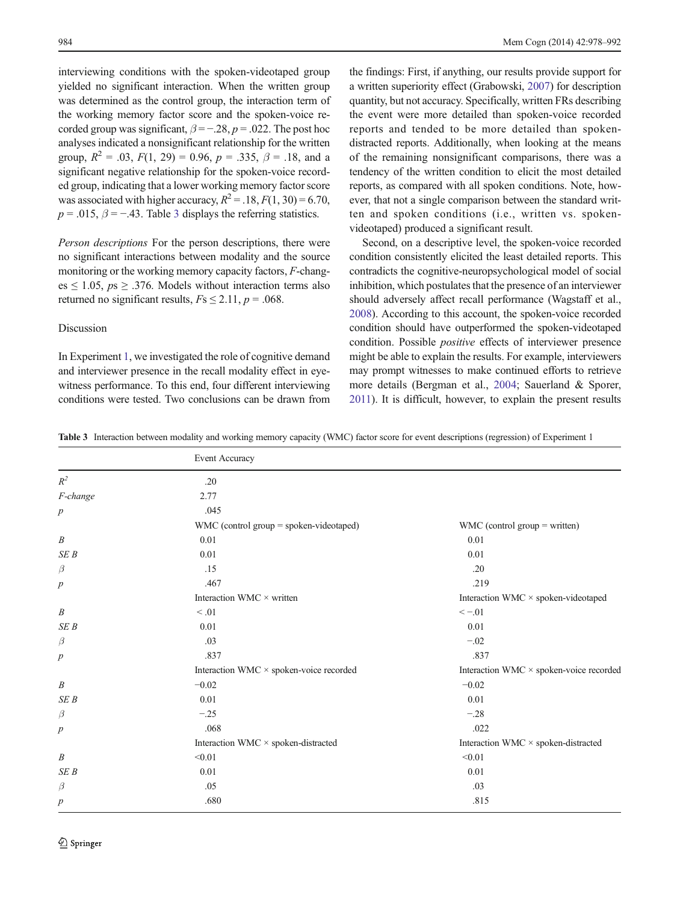interviewing conditions with the spoken-videotaped group yielded no significant interaction. When the written group was determined as the control group, the interaction term of the working memory factor score and the spoken-voice recorded group was significant,  $\beta = -0.28$ ,  $p = 0.022$ . The post hoc analyses indicated a nonsignificant relationship for the written group,  $R^2 = .03$ ,  $F(1, 29) = 0.96$ ,  $p = .335$ ,  $\beta = .18$ , and a significant negative relationship for the spoken-voice recorded group, indicating that a lower working memory factor score was associated with higher accuracy,  $R^2 = .18$ ,  $F(1, 30) = 6.70$ ,  $p = .015$ ,  $\beta = -.43$ . Table 3 displays the referring statistics.

Person descriptions For the person descriptions, there were no significant interactions between modality and the source monitoring or the working memory capacity factors, F-changes  $\leq 1.05$ ,  $p_s \geq .376$ . Models without interaction terms also returned no significant results,  $Fs \leq 2.11$ ,  $p = .068$ .

# Discussion

In Experiment [1](#page-3-0), we investigated the role of cognitive demand and interviewer presence in the recall modality effect in eyewitness performance. To this end, four different interviewing conditions were tested. Two conclusions can be drawn from

the findings: First, if anything, our results provide support for a written superiority effect (Grabowski, [2007\)](#page-14-0) for description quantity, but not accuracy. Specifically, written FRs describing the event were more detailed than spoken-voice recorded reports and tended to be more detailed than spokendistracted reports. Additionally, when looking at the means of the remaining nonsignificant comparisons, there was a tendency of the written condition to elicit the most detailed reports, as compared with all spoken conditions. Note, however, that not a single comparison between the standard written and spoken conditions (i.e., written vs. spokenvideotaped) produced a significant result.

Second, on a descriptive level, the spoken-voice recorded condition consistently elicited the least detailed reports. This contradicts the cognitive-neuropsychological model of social inhibition, which postulates that the presence of an interviewer should adversely affect recall performance (Wagstaff et al., [2008\)](#page-15-0). According to this account, the spoken-voice recorded condition should have outperformed the spoken-videotaped condition. Possible positive effects of interviewer presence might be able to explain the results. For example, interviewers may prompt witnesses to make continued efforts to retrieve more details (Bergman et al., [2004;](#page-14-0) Sauerland & Sporer, [2011](#page-15-0)). It is difficult, however, to explain the present results

Table 3 Interaction between modality and working memory capacity (WMC) factor score for event descriptions (regression) of Experiment 1

|                  | Event Accuracy                            |                                         |
|------------------|-------------------------------------------|-----------------------------------------|
| $R^2$            | .20                                       |                                         |
| F-change         | 2.77                                      |                                         |
| $\boldsymbol{p}$ | .045                                      |                                         |
|                  | $WMC$ (control group = spoken-videotaped) | $WMC$ (control group = written)         |
| $\boldsymbol{B}$ | 0.01                                      | 0.01                                    |
| SEB              | 0.01                                      | 0.01                                    |
| $\beta$          | .15                                       | .20                                     |
| $\boldsymbol{p}$ | .467                                      | .219                                    |
|                  | Interaction WMC × written                 | Interaction WMC × spoken-videotaped     |
| $\boldsymbol{B}$ | < 0.01                                    | $\le -0.01$                             |
| SEB              | 0.01                                      | 0.01                                    |
| $\beta$          | .03                                       | $-.02$                                  |
| $\boldsymbol{p}$ | .837                                      | .837                                    |
|                  | Interaction WMC × spoken-voice recorded   | Interaction WMC × spoken-voice recorded |
| $\boldsymbol{B}$ | $-0.02$                                   | $-0.02$                                 |
| SEB              | 0.01                                      | 0.01                                    |
| $\beta$          | $-.25$                                    | $-.28$                                  |
| $\boldsymbol{p}$ | .068                                      | .022                                    |
|                  | Interaction WMC × spoken-distracted       | Interaction WMC × spoken-distracted     |
| $\boldsymbol{B}$ | < 0.01                                    | < 0.01                                  |
| SE B             | 0.01                                      | 0.01                                    |
| $\beta$          | .05                                       | .03                                     |
| $\boldsymbol{p}$ | .680                                      | .815                                    |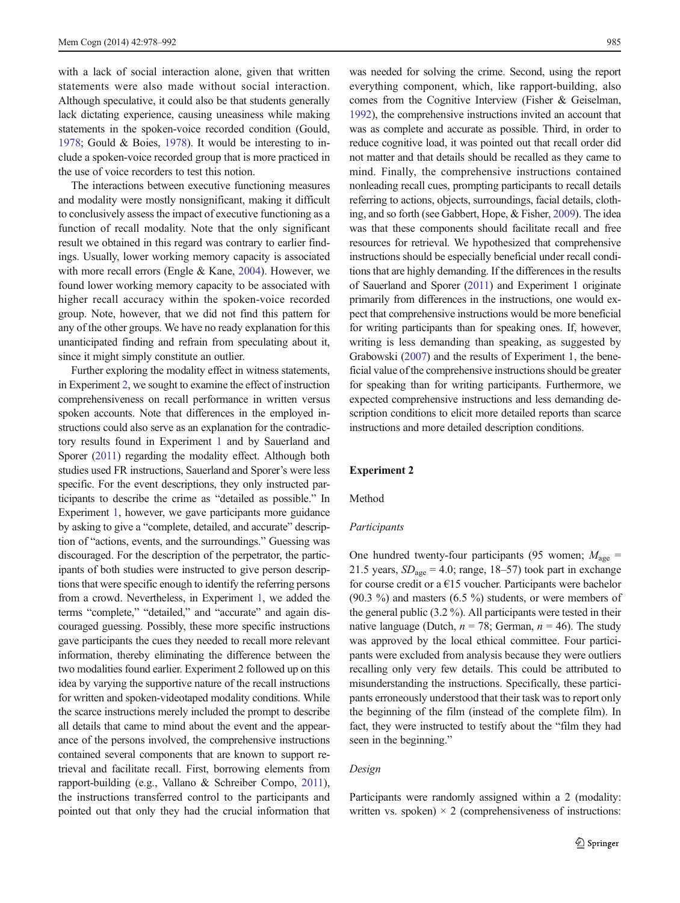<span id="page-8-0"></span>with a lack of social interaction alone, given that written statements were also made without social interaction. Although speculative, it could also be that students generally lack dictating experience, causing uneasiness while making statements in the spoken-voice recorded condition (Gould, [1978;](#page-14-0) Gould & Boies, [1978\)](#page-14-0). It would be interesting to include a spoken-voice recorded group that is more practiced in the use of voice recorders to test this notion.

The interactions between executive functioning measures and modality were mostly nonsignificant, making it difficult to conclusively assess the impact of executive functioning as a function of recall modality. Note that the only significant result we obtained in this regard was contrary to earlier findings. Usually, lower working memory capacity is associated with more recall errors (Engle & Kane, [2004](#page-14-0)). However, we found lower working memory capacity to be associated with higher recall accuracy within the spoken-voice recorded group. Note, however, that we did not find this pattern for any of the other groups. We have no ready explanation for this unanticipated finding and refrain from speculating about it, since it might simply constitute an outlier.

Further exploring the modality effect in witness statements, in Experiment 2, we sought to examine the effect of instruction comprehensiveness on recall performance in written versus spoken accounts. Note that differences in the employed instructions could also serve as an explanation for the contradictory results found in Experiment [1](#page-3-0) and by Sauerland and Sporer ([2011\)](#page-15-0) regarding the modality effect. Although both studies used FR instructions, Sauerland and Sporer's were less specific. For the event descriptions, they only instructed participants to describe the crime as "detailed as possible." In Experiment [1,](#page-3-0) however, we gave participants more guidance by asking to give a "complete, detailed, and accurate" description of "actions, events, and the surroundings." Guessing was discouraged. For the description of the perpetrator, the participants of both studies were instructed to give person descriptions that were specific enough to identify the referring persons from a crowd. Nevertheless, in Experiment [1](#page-3-0), we added the terms "complete," "detailed," and "accurate" and again discouraged guessing. Possibly, these more specific instructions gave participants the cues they needed to recall more relevant information, thereby eliminating the difference between the two modalities found earlier. Experiment 2 followed up on this idea by varying the supportive nature of the recall instructions for written and spoken-videotaped modality conditions. While the scarce instructions merely included the prompt to describe all details that came to mind about the event and the appearance of the persons involved, the comprehensive instructions contained several components that are known to support retrieval and facilitate recall. First, borrowing elements from rapport-building (e.g., Vallano & Schreiber Compo, [2011\)](#page-15-0), the instructions transferred control to the participants and pointed out that only they had the crucial information that

was needed for solving the crime. Second, using the report everything component, which, like rapport-building, also comes from the Cognitive Interview (Fisher & Geiselman, [1992\)](#page-14-0), the comprehensive instructions invited an account that was as complete and accurate as possible. Third, in order to reduce cognitive load, it was pointed out that recall order did not matter and that details should be recalled as they came to mind. Finally, the comprehensive instructions contained nonleading recall cues, prompting participants to recall details referring to actions, objects, surroundings, facial details, clothing, and so forth (see Gabbert, Hope, & Fisher, [2009\)](#page-14-0). The idea was that these components should facilitate recall and free resources for retrieval. We hypothesized that comprehensive instructions should be especially beneficial under recall conditions that are highly demanding. If the differences in the results of Sauerland and Sporer ([2011\)](#page-15-0) and Experiment 1 originate primarily from differences in the instructions, one would expect that comprehensive instructions would be more beneficial for writing participants than for speaking ones. If, however, writing is less demanding than speaking, as suggested by Grabowski [\(2007\)](#page-14-0) and the results of Experiment 1, the beneficial value of the comprehensive instructions should be greater for speaking than for writing participants. Furthermore, we expected comprehensive instructions and less demanding description conditions to elicit more detailed reports than scarce instructions and more detailed description conditions.

# Experiment 2

Method

#### Participants

One hundred twenty-four participants (95 women;  $M_{\text{age}} =$ 21.5 years,  $SD<sub>age</sub> = 4.0$ ; range, 18–57) took part in exchange for course credit or a  $E15$  voucher. Participants were bachelor (90.3 %) and masters (6.5 %) students, or were members of the general public (3.2 %). All participants were tested in their native language (Dutch,  $n = 78$ ; German,  $n = 46$ ). The study was approved by the local ethical committee. Four participants were excluded from analysis because they were outliers recalling only very few details. This could be attributed to misunderstanding the instructions. Specifically, these participants erroneously understood that their task was to report only the beginning of the film (instead of the complete film). In fact, they were instructed to testify about the "film they had seen in the beginning."

## Design

Participants were randomly assigned within a 2 (modality: written vs. spoken)  $\times$  2 (comprehensiveness of instructions: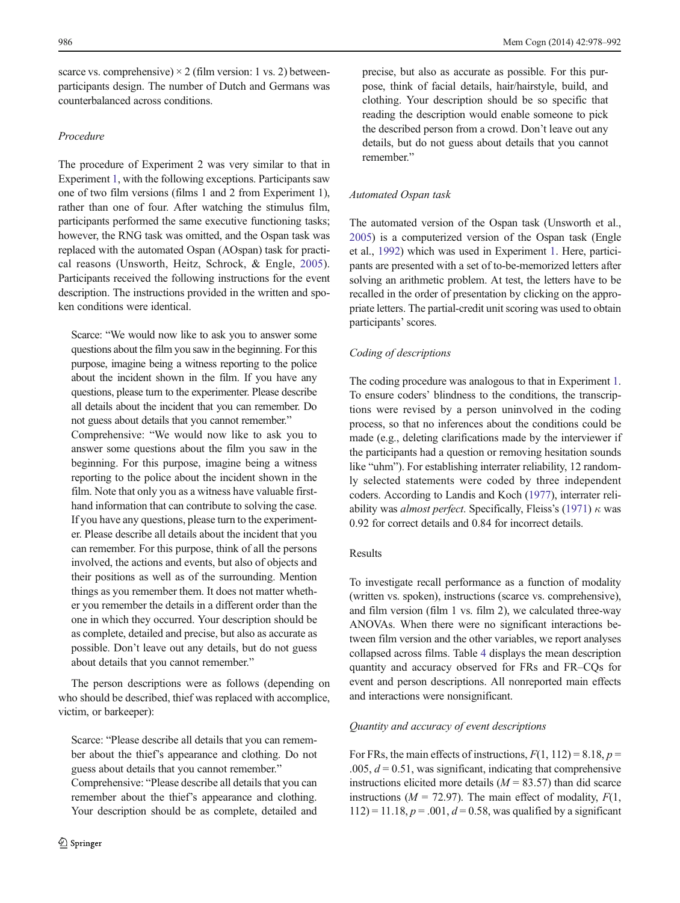scarce vs. comprehensive)  $\times$  2 (film version: 1 vs. 2) betweenparticipants design. The number of Dutch and Germans was counterbalanced across conditions.

# Procedure

The procedure of Experiment 2 was very similar to that in Experiment [1](#page-3-0), with the following exceptions. Participants saw one of two film versions (films 1 and 2 from Experiment 1), rather than one of four. After watching the stimulus film, participants performed the same executive functioning tasks; however, the RNG task was omitted, and the Ospan task was replaced with the automated Ospan (AOspan) task for practical reasons (Unsworth, Heitz, Schrock, & Engle, [2005](#page-15-0)). Participants received the following instructions for the event description. The instructions provided in the written and spoken conditions were identical.

Scarce: "We would now like to ask you to answer some questions about the film you saw in the beginning. For this purpose, imagine being a witness reporting to the police about the incident shown in the film. If you have any questions, please turn to the experimenter. Please describe all details about the incident that you can remember. Do not guess about details that you cannot remember."

Comprehensive: "We would now like to ask you to answer some questions about the film you saw in the beginning. For this purpose, imagine being a witness reporting to the police about the incident shown in the film. Note that only you as a witness have valuable firsthand information that can contribute to solving the case. If you have any questions, please turn to the experimenter. Please describe all details about the incident that you can remember. For this purpose, think of all the persons involved, the actions and events, but also of objects and their positions as well as of the surrounding. Mention things as you remember them. It does not matter whether you remember the details in a different order than the one in which they occurred. Your description should be as complete, detailed and precise, but also as accurate as possible. Don't leave out any details, but do not guess about details that you cannot remember."

The person descriptions were as follows (depending on who should be described, thief was replaced with accomplice, victim, or barkeeper):

Scarce: "Please describe all details that you can remember about the thief's appearance and clothing. Do not guess about details that you cannot remember." Comprehensive: "Please describe all details that you can

remember about the thief's appearance and clothing. Your description should be as complete, detailed and precise, but also as accurate as possible. For this purpose, think of facial details, hair/hairstyle, build, and clothing. Your description should be so specific that reading the description would enable someone to pick the described person from a crowd. Don't leave out any details, but do not guess about details that you cannot remember."

# Automated Ospan task

The automated version of the Ospan task (Unsworth et al., [2005\)](#page-15-0) is a computerized version of the Ospan task (Engle et al., [1992\)](#page-14-0) which was used in Experiment [1.](#page-3-0) Here, participants are presented with a set of to-be-memorized letters after solving an arithmetic problem. At test, the letters have to be recalled in the order of presentation by clicking on the appropriate letters. The partial-credit unit scoring was used to obtain participants' scores.

# Coding of descriptions

The coding procedure was analogous to that in Experiment [1.](#page-3-0) To ensure coders' blindness to the conditions, the transcriptions were revised by a person uninvolved in the coding process, so that no inferences about the conditions could be made (e.g., deleting clarifications made by the interviewer if the participants had a question or removing hesitation sounds like "uhm"). For establishing interrater reliability, 12 randomly selected statements were coded by three independent coders. According to Landis and Koch [\(1977\)](#page-14-0), interrater reliability was *almost perfect*. Specifically, Fleiss's ([1971](#page-14-0))  $\kappa$  was 0.92 for correct details and 0.84 for incorrect details.

# Results

To investigate recall performance as a function of modality (written vs. spoken), instructions (scarce vs. comprehensive), and film version (film 1 vs. film 2), we calculated three-way ANOVAs. When there were no significant interactions between film version and the other variables, we report analyses collapsed across films. Table [4](#page-10-0) displays the mean description quantity and accuracy observed for FRs and FR–CQs for event and person descriptions. All nonreported main effects and interactions were nonsignificant.

# Quantity and accuracy of event descriptions

For FRs, the main effects of instructions,  $F(1, 112) = 8.18$ ,  $p =$ .005,  $d = 0.51$ , was significant, indicating that comprehensive instructions elicited more details  $(M = 83.57)$  than did scarce instructions ( $M = 72.97$ ). The main effect of modality,  $F(1, 1)$  $112$ ) = 11.18,  $p = .001$ ,  $d = 0.58$ , was qualified by a significant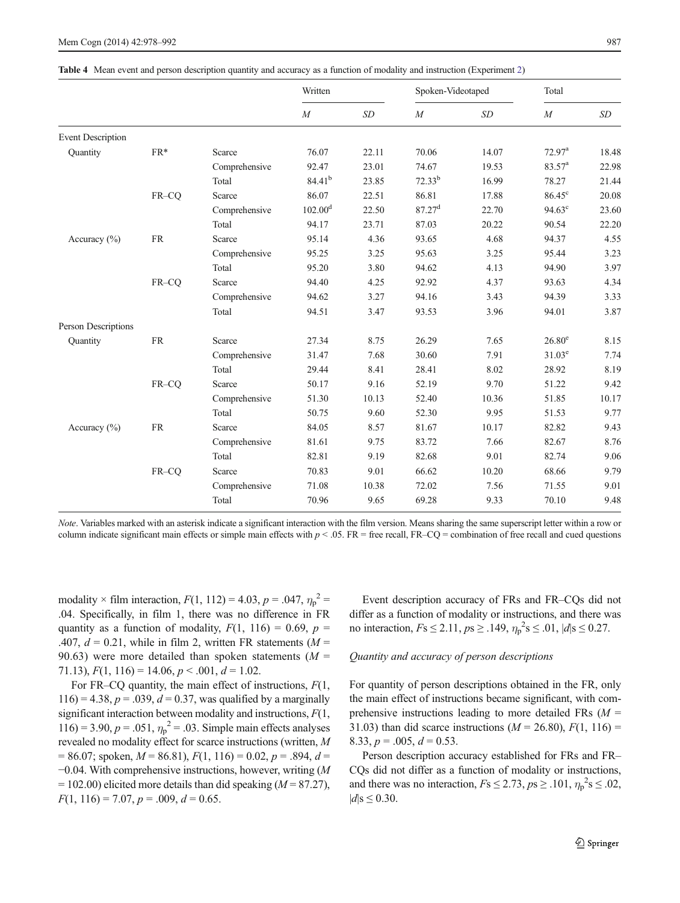#### <span id="page-10-0"></span>Table 4 Mean event and person description quantity and accuracy as a function of modality and instruction (Experiment [2](#page-8-0))

|                          |           |               | Written             |       | Spoken-Videotaped  |       | Total           |       |
|--------------------------|-----------|---------------|---------------------|-------|--------------------|-------|-----------------|-------|
|                          |           |               | M                   | SD    | M                  | SD    | $\cal M$        | SD    |
| <b>Event Description</b> |           |               |                     |       |                    |       |                 |       |
| Quantity                 | $FR*$     | Scarce        | 76.07               | 22.11 | 70.06              | 14.07 | $72.97^{\rm a}$ | 18.48 |
|                          |           | Comprehensive | 92.47               | 23.01 | 74.67              | 19.53 | $83.57^{\rm a}$ | 22.98 |
|                          |           | Total         | $84.41^{b}$         | 23.85 | $72.33^{b}$        | 16.99 | 78.27           | 21.44 |
|                          | FR-CQ     | Scarce        | 86.07               | 22.51 | 86.81              | 17.88 | $86.45^{\circ}$ | 20.08 |
|                          |           | Comprehensive | 102.00 <sup>d</sup> | 22.50 | 87.27 <sup>d</sup> | 22.70 | $94.63^{\circ}$ | 23.60 |
|                          |           | Total         | 94.17               | 23.71 | 87.03              | 20.22 | 90.54           | 22.20 |
| Accuracy $(\% )$         | <b>FR</b> | Scarce        | 95.14               | 4.36  | 93.65              | 4.68  | 94.37           | 4.55  |
|                          |           | Comprehensive | 95.25               | 3.25  | 95.63              | 3.25  | 95.44           | 3.23  |
|                          |           | Total         | 95.20               | 3.80  | 94.62              | 4.13  | 94.90           | 3.97  |
|                          | FR-CQ     | Scarce        | 94.40               | 4.25  | 92.92              | 4.37  | 93.63           | 4.34  |
|                          |           | Comprehensive | 94.62               | 3.27  | 94.16              | 3.43  | 94.39           | 3.33  |
|                          |           | Total         | 94.51               | 3.47  | 93.53              | 3.96  | 94.01           | 3.87  |
| Person Descriptions      |           |               |                     |       |                    |       |                 |       |
| Quantity                 | <b>FR</b> | Scarce        | 27.34               | 8.75  | 26.29              | 7.65  | $26.80^e$       | 8.15  |
|                          |           | Comprehensive | 31.47               | 7.68  | 30.60              | 7.91  | $31.03^e$       | 7.74  |
|                          |           | Total         | 29.44               | 8.41  | 28.41              | 8.02  | 28.92           | 8.19  |
|                          | FR-CQ     | Scarce        | 50.17               | 9.16  | 52.19              | 9.70  | 51.22           | 9.42  |
|                          |           | Comprehensive | 51.30               | 10.13 | 52.40              | 10.36 | 51.85           | 10.17 |
|                          |           | Total         | 50.75               | 9.60  | 52.30              | 9.95  | 51.53           | 9.77  |
| Accuracy $(\% )$         | <b>FR</b> | Scarce        | 84.05               | 8.57  | 81.67              | 10.17 | 82.82           | 9.43  |
|                          |           | Comprehensive | 81.61               | 9.75  | 83.72              | 7.66  | 82.67           | 8.76  |
|                          |           | Total         | 82.81               | 9.19  | 82.68              | 9.01  | 82.74           | 9.06  |
|                          | FR-CQ     | Scarce        | 70.83               | 9.01  | 66.62              | 10.20 | 68.66           | 9.79  |
|                          |           | Comprehensive | 71.08               | 10.38 | 72.02              | 7.56  | 71.55           | 9.01  |
|                          |           | Total         | 70.96               | 9.65  | 69.28              | 9.33  | 70.10           | 9.48  |

Note. Variables marked with an asterisk indicate a significant interaction with the film version. Means sharing the same superscript letter within a row or column indicate significant main effects or simple main effects with  $p < .05$ . FR = free recall, FR–CQ = combination of free recall and cued questions

modality  $\times$  film interaction,  $F(1, 112) = 4.03$ ,  $p = .047$ ,  $\eta_p^2 =$ .04. Specifically, in film 1, there was no difference in FR quantity as a function of modality,  $F(1, 116) = 0.69$ ,  $p =$ .407,  $d = 0.21$ , while in film 2, written FR statements ( $M =$ 90.63) were more detailed than spoken statements ( $M =$ 71.13),  $F(1, 116) = 14.06$ ,  $p < .001$ ,  $d = 1.02$ .

For FR–CQ quantity, the main effect of instructions,  $F(1, 1)$  $116$ ) = 4.38,  $p = .039$ ,  $d = 0.37$ , was qualified by a marginally significant interaction between modality and instructions,  $F(1,$  $116$ ) = 3.90,  $p = .051$ ,  $\eta_p^2 = .03$ . Simple main effects analyses revealed no modality effect for scarce instructions (written, M  $= 86.07$ ; spoken,  $M = 86.81$ ),  $F(1, 116) = 0.02$ ,  $p = .894$ ,  $d =$  $-0.04$ . With comprehensive instructions, however, writing (M  $= 102.00$ ) elicited more details than did speaking ( $M = 87.27$ ),  $F(1, 116) = 7.07, p = .009, d = 0.65.$ 

Event description accuracy of FRs and FR–CQs did not differ as a function of modality or instructions, and there was no interaction,  $Fs \le 2.11$ ,  $ps \ge .149$ ,  $\eta_p^2 s \le .01$ ,  $|d|s \le 0.27$ .

#### Quantity and accuracy of person descriptions

For quantity of person descriptions obtained in the FR, only the main effect of instructions became significant, with comprehensive instructions leading to more detailed FRs  $(M =$ 31.03) than did scarce instructions ( $M = 26.80$ ),  $F(1, 116) =$ 8.33,  $p = .005$ ,  $d = 0.53$ .

Person description accuracy established for FRs and FR– CQs did not differ as a function of modality or instructions, and there was no interaction,  $Fs \le 2.73$ ,  $ps \ge .101$ ,  $\eta_p^2 s \le .02$ ,  $|d|s \le 0.30$ .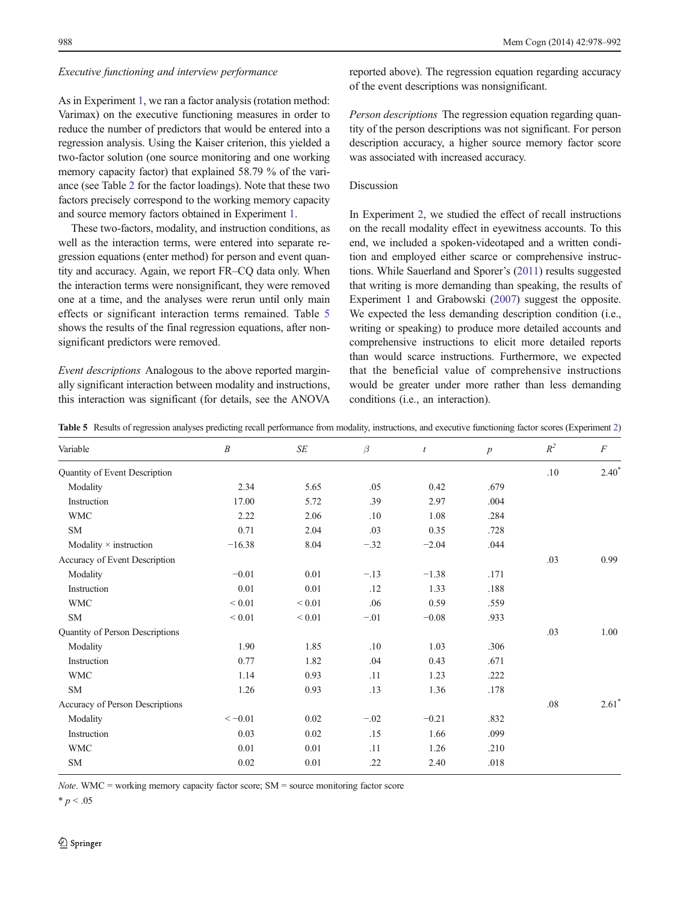## Executive functioning and interview performance

As in Experiment [1,](#page-3-0) we ran a factor analysis (rotation method: Varimax) on the executive functioning measures in order to reduce the number of predictors that would be entered into a regression analysis. Using the Kaiser criterion, this yielded a two-factor solution (one source monitoring and one working memory capacity factor) that explained 58.79 % of the variance (see Table [2](#page-6-0) for the factor loadings). Note that these two factors precisely correspond to the working memory capacity and source memory factors obtained in Experiment [1](#page-3-0).

These two-factors, modality, and instruction conditions, as well as the interaction terms, were entered into separate regression equations (enter method) for person and event quantity and accuracy. Again, we report FR–CQ data only. When the interaction terms were nonsignificant, they were removed one at a time, and the analyses were rerun until only main effects or significant interaction terms remained. Table 5 shows the results of the final regression equations, after nonsignificant predictors were removed.

Event descriptions Analogous to the above reported marginally significant interaction between modality and instructions, this interaction was significant (for details, see the ANOVA

reported above). The regression equation regarding accuracy of the event descriptions was nonsignificant.

Person descriptions The regression equation regarding quantity of the person descriptions was not significant. For person description accuracy, a higher source memory factor score was associated with increased accuracy.

## Discussion

In Experiment [2](#page-8-0), we studied the effect of recall instructions on the recall modality effect in eyewitness accounts. To this end, we included a spoken-videotaped and a written condition and employed either scarce or comprehensive instructions. While Sauerland and Sporer's [\(2011](#page-15-0)) results suggested that writing is more demanding than speaking, the results of Experiment 1 and Grabowski ([2007](#page-14-0)) suggest the opposite. We expected the less demanding description condition (i.e., writing or speaking) to produce more detailed accounts and comprehensive instructions to elicit more detailed reports than would scarce instructions. Furthermore, we expected that the beneficial value of comprehensive instructions would be greater under more rather than less demanding conditions (i.e., an interaction).

Table 5 Results of regression analyses predicting recall performance from modality, instructions, and executive functioning factor scores (Experiment [2\)](#page-8-0)

| Variable                        | $\boldsymbol{B}$ | $S\!E$     | $\beta$ | $\boldsymbol{t}$ | $\boldsymbol{p}$ | $R^2$ | $\boldsymbol{F}$ |
|---------------------------------|------------------|------------|---------|------------------|------------------|-------|------------------|
| Quantity of Event Description   |                  |            |         |                  |                  | .10   | $2.40^*$         |
| Modality                        | 2.34             | 5.65       | .05     | 0.42             | .679             |       |                  |
| Instruction                     | 17.00            | 5.72       | .39     | 2.97             | .004             |       |                  |
| <b>WMC</b>                      | 2.22             | 2.06       | .10     | 1.08             | .284             |       |                  |
| <b>SM</b>                       | 0.71             | 2.04       | .03     | 0.35             | .728             |       |                  |
| Modality $\times$ instruction   | $-16.38$         | 8.04       | $-.32$  | $-2.04$          | .044             |       |                  |
| Accuracy of Event Description   |                  |            |         |                  |                  | .03   | 0.99             |
| Modality                        | $-0.01$          | 0.01       | $-.13$  | $-1.38$          | .171             |       |                  |
| Instruction                     | 0.01             | 0.01       | .12     | 1.33             | .188             |       |                  |
| <b>WMC</b>                      | ${}< 0.01$       | ${}< 0.01$ | .06     | 0.59             | .559             |       |                  |
| <b>SM</b>                       | ${}< 0.01$       | ${}< 0.01$ | $-.01$  | $-0.08$          | .933             |       |                  |
| Quantity of Person Descriptions |                  |            |         |                  |                  | .03   | 1.00             |
| Modality                        | 1.90             | 1.85       | .10     | 1.03             | .306             |       |                  |
| Instruction                     | 0.77             | 1.82       | .04     | 0.43             | .671             |       |                  |
| <b>WMC</b>                      | 1.14             | 0.93       | .11     | 1.23             | .222             |       |                  |
| <b>SM</b>                       | 1.26             | 0.93       | .13     | 1.36             | .178             |       |                  |
| Accuracy of Person Descriptions |                  |            |         |                  |                  | .08   | $2.61*$          |
| Modality                        | $<-0.01$         | 0.02       | $-.02$  | $-0.21$          | .832             |       |                  |
| Instruction                     | 0.03             | 0.02       | .15     | 1.66             | .099             |       |                  |
| <b>WMC</b>                      | 0.01             | 0.01       | .11     | 1.26             | .210             |       |                  |
| <b>SM</b>                       | 0.02             | 0.01       | .22     | 2.40             | .018             |       |                  |

Note. WMC = working memory capacity factor score; SM = source monitoring factor score

 $* p < .05$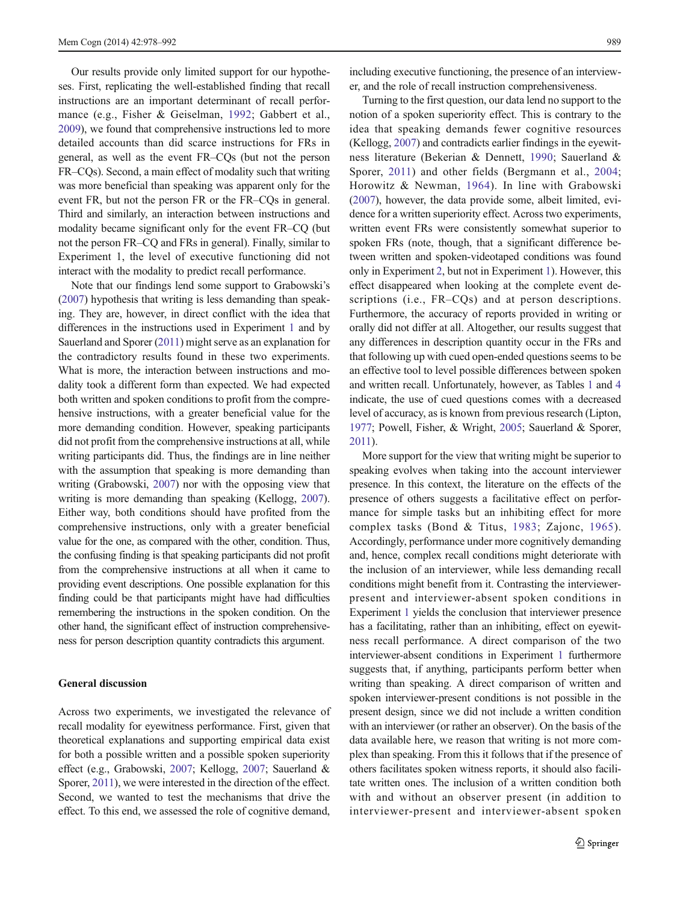Our results provide only limited support for our hypotheses. First, replicating the well-established finding that recall instructions are an important determinant of recall performance (e.g., Fisher & Geiselman, [1992](#page-14-0); Gabbert et al., [2009\)](#page-14-0), we found that comprehensive instructions led to more detailed accounts than did scarce instructions for FRs in general, as well as the event FR–CQs (but not the person FR–CQs). Second, a main effect of modality such that writing was more beneficial than speaking was apparent only for the event FR, but not the person FR or the FR–CQs in general. Third and similarly, an interaction between instructions and modality became significant only for the event FR–CQ (but not the person FR–CQ and FRs in general). Finally, similar to Experiment 1, the level of executive functioning did not interact with the modality to predict recall performance.

Note that our findings lend some support to Grabowski's [\(2007\)](#page-14-0) hypothesis that writing is less demanding than speaking. They are, however, in direct conflict with the idea that differences in the instructions used in Experiment [1](#page-3-0) and by Sauerland and Sporer ([2011\)](#page-15-0) might serve as an explanation for the contradictory results found in these two experiments. What is more, the interaction between instructions and modality took a different form than expected. We had expected both written and spoken conditions to profit from the comprehensive instructions, with a greater beneficial value for the more demanding condition. However, speaking participants did not profit from the comprehensive instructions at all, while writing participants did. Thus, the findings are in line neither with the assumption that speaking is more demanding than writing (Grabowski, [2007\)](#page-14-0) nor with the opposing view that writing is more demanding than speaking (Kellogg, [2007\)](#page-14-0). Either way, both conditions should have profited from the comprehensive instructions, only with a greater beneficial value for the one, as compared with the other, condition. Thus, the confusing finding is that speaking participants did not profit from the comprehensive instructions at all when it came to providing event descriptions. One possible explanation for this finding could be that participants might have had difficulties remembering the instructions in the spoken condition. On the other hand, the significant effect of instruction comprehensiveness for person description quantity contradicts this argument.

# General discussion

Across two experiments, we investigated the relevance of recall modality for eyewitness performance. First, given that theoretical explanations and supporting empirical data exist for both a possible written and a possible spoken superiority effect (e.g., Grabowski, [2007](#page-14-0); Kellogg, [2007](#page-14-0); Sauerland & Sporer, [2011](#page-15-0)), we were interested in the direction of the effect. Second, we wanted to test the mechanisms that drive the effect. To this end, we assessed the role of cognitive demand, including executive functioning, the presence of an interviewer, and the role of recall instruction comprehensiveness.

Turning to the first question, our data lend no support to the notion of a spoken superiority effect. This is contrary to the idea that speaking demands fewer cognitive resources (Kellogg, [2007\)](#page-14-0) and contradicts earlier findings in the eyewitness literature (Bekerian & Dennett, [1990;](#page-14-0) Sauerland & Sporer, [2011\)](#page-15-0) and other fields (Bergmann et al., [2004;](#page-14-0) Horowitz & Newman, [1964\)](#page-14-0). In line with Grabowski [\(2007\)](#page-14-0), however, the data provide some, albeit limited, evidence for a written superiority effect. Across two experiments, written event FRs were consistently somewhat superior to spoken FRs (note, though, that a significant difference between written and spoken-videotaped conditions was found only in Experiment [2](#page-8-0), but not in Experiment [1\)](#page-3-0). However, this effect disappeared when looking at the complete event descriptions (i.e., FR–CQs) and at person descriptions. Furthermore, the accuracy of reports provided in writing or orally did not differ at all. Altogether, our results suggest that any differences in description quantity occur in the FRs and that following up with cued open-ended questions seems to be an effective tool to level possible differences between spoken and written recall. Unfortunately, however, as Tables [1](#page-6-0) and [4](#page-10-0) indicate, the use of cued questions comes with a decreased level of accuracy, as is known from previous research (Lipton, [1977;](#page-15-0) Powell, Fisher, & Wright, [2005](#page-15-0); Sauerland & Sporer, [2011](#page-15-0)).

More support for the view that writing might be superior to speaking evolves when taking into the account interviewer presence. In this context, the literature on the effects of the presence of others suggests a facilitative effect on performance for simple tasks but an inhibiting effect for more complex tasks (Bond & Titus, [1983;](#page-14-0) Zajonc, [1965](#page-15-0)). Accordingly, performance under more cognitively demanding and, hence, complex recall conditions might deteriorate with the inclusion of an interviewer, while less demanding recall conditions might benefit from it. Contrasting the interviewerpresent and interviewer-absent spoken conditions in Experiment [1](#page-3-0) yields the conclusion that interviewer presence has a facilitating, rather than an inhibiting, effect on eyewitness recall performance. A direct comparison of the two interviewer-absent conditions in Experiment [1](#page-3-0) furthermore suggests that, if anything, participants perform better when writing than speaking. A direct comparison of written and spoken interviewer-present conditions is not possible in the present design, since we did not include a written condition with an interviewer (or rather an observer). On the basis of the data available here, we reason that writing is not more complex than speaking. From this it follows that if the presence of others facilitates spoken witness reports, it should also facilitate written ones. The inclusion of a written condition both with and without an observer present (in addition to interviewer-present and interviewer-absent spoken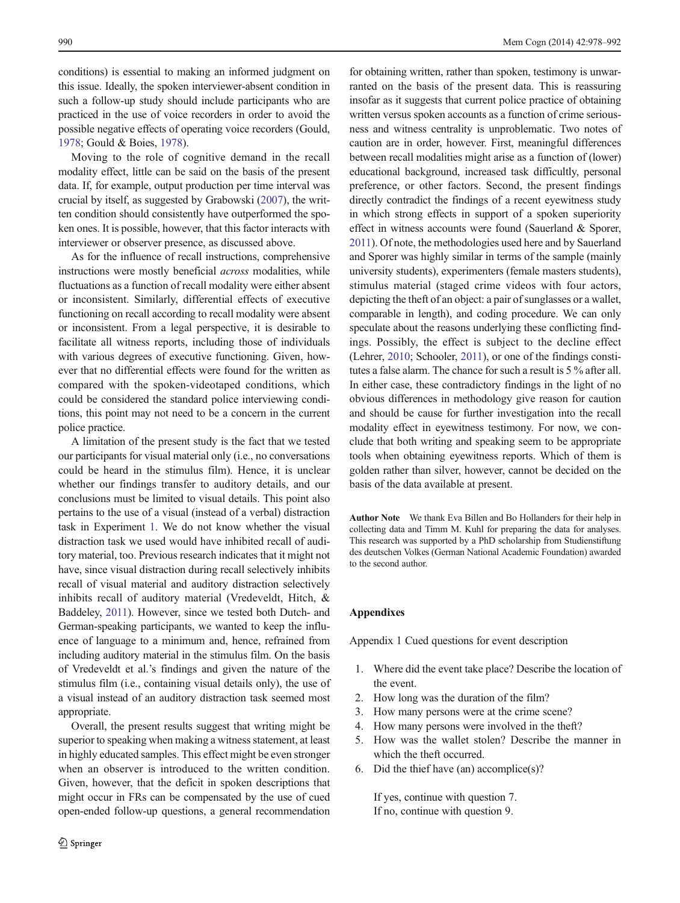<span id="page-13-0"></span>conditions) is essential to making an informed judgment on this issue. Ideally, the spoken interviewer-absent condition in such a follow-up study should include participants who are practiced in the use of voice recorders in order to avoid the possible negative effects of operating voice recorders (Gould, [1978;](#page-14-0) Gould & Boies, [1978\)](#page-14-0).

Moving to the role of cognitive demand in the recall modality effect, little can be said on the basis of the present data. If, for example, output production per time interval was crucial by itself, as suggested by Grabowski [\(2007\)](#page-14-0), the written condition should consistently have outperformed the spoken ones. It is possible, however, that this factor interacts with interviewer or observer presence, as discussed above.

As for the influence of recall instructions, comprehensive instructions were mostly beneficial *across* modalities, while fluctuations as a function of recall modality were either absent or inconsistent. Similarly, differential effects of executive functioning on recall according to recall modality were absent or inconsistent. From a legal perspective, it is desirable to facilitate all witness reports, including those of individuals with various degrees of executive functioning. Given, however that no differential effects were found for the written as compared with the spoken-videotaped conditions, which could be considered the standard police interviewing conditions, this point may not need to be a concern in the current police practice.

A limitation of the present study is the fact that we tested our participants for visual material only (i.e., no conversations could be heard in the stimulus film). Hence, it is unclear whether our findings transfer to auditory details, and our conclusions must be limited to visual details. This point also pertains to the use of a visual (instead of a verbal) distraction task in Experiment [1](#page-3-0). We do not know whether the visual distraction task we used would have inhibited recall of auditory material, too. Previous research indicates that it might not have, since visual distraction during recall selectively inhibits recall of visual material and auditory distraction selectively inhibits recall of auditory material (Vredeveldt, Hitch, & Baddeley, [2011\)](#page-15-0). However, since we tested both Dutch- and German-speaking participants, we wanted to keep the influence of language to a minimum and, hence, refrained from including auditory material in the stimulus film. On the basis of Vredeveldt et al.'s findings and given the nature of the stimulus film (i.e., containing visual details only), the use of a visual instead of an auditory distraction task seemed most appropriate.

Overall, the present results suggest that writing might be superior to speaking when making a witness statement, at least in highly educated samples. This effect might be even stronger when an observer is introduced to the written condition. Given, however, that the deficit in spoken descriptions that might occur in FRs can be compensated by the use of cued open-ended follow-up questions, a general recommendation

for obtaining written, rather than spoken, testimony is unwarranted on the basis of the present data. This is reassuring insofar as it suggests that current police practice of obtaining written versus spoken accounts as a function of crime seriousness and witness centrality is unproblematic. Two notes of caution are in order, however. First, meaningful differences between recall modalities might arise as a function of (lower) educational background, increased task difficultly, personal preference, or other factors. Second, the present findings directly contradict the findings of a recent eyewitness study in which strong effects in support of a spoken superiority effect in witness accounts were found (Sauerland & Sporer, [2011](#page-15-0)). Of note, the methodologies used here and by Sauerland and Sporer was highly similar in terms of the sample (mainly university students), experimenters (female masters students), stimulus material (staged crime videos with four actors, depicting the theft of an object: a pair of sunglasses or a wallet, comparable in length), and coding procedure. We can only speculate about the reasons underlying these conflicting findings. Possibly, the effect is subject to the decline effect (Lehrer, [2010](#page-14-0); Schooler, [2011\)](#page-15-0), or one of the findings constitutes a false alarm. The chance for such a result is 5 % after all. In either case, these contradictory findings in the light of no obvious differences in methodology give reason for caution and should be cause for further investigation into the recall modality effect in eyewitness testimony. For now, we conclude that both writing and speaking seem to be appropriate tools when obtaining eyewitness reports. Which of them is golden rather than silver, however, cannot be decided on the basis of the data available at present.

Author Note We thank Eva Billen and Bo Hollanders for their help in collecting data and Timm M. Kuhl for preparing the data for analyses. This research was supported by a PhD scholarship from Studienstiftung des deutschen Volkes (German National Academic Foundation) awarded to the second author.

# Appendixes

Appendix 1 Cued questions for event description

- 1. Where did the event take place? Describe the location of the event.
- 2. How long was the duration of the film?
- 3. How many persons were at the crime scene?
- 4. How many persons were involved in the theft?
- 5. How was the wallet stolen? Describe the manner in which the theft occurred.
- 6. Did the thief have (an) accomplice(s)?

If yes, continue with question 7. If no, continue with question 9.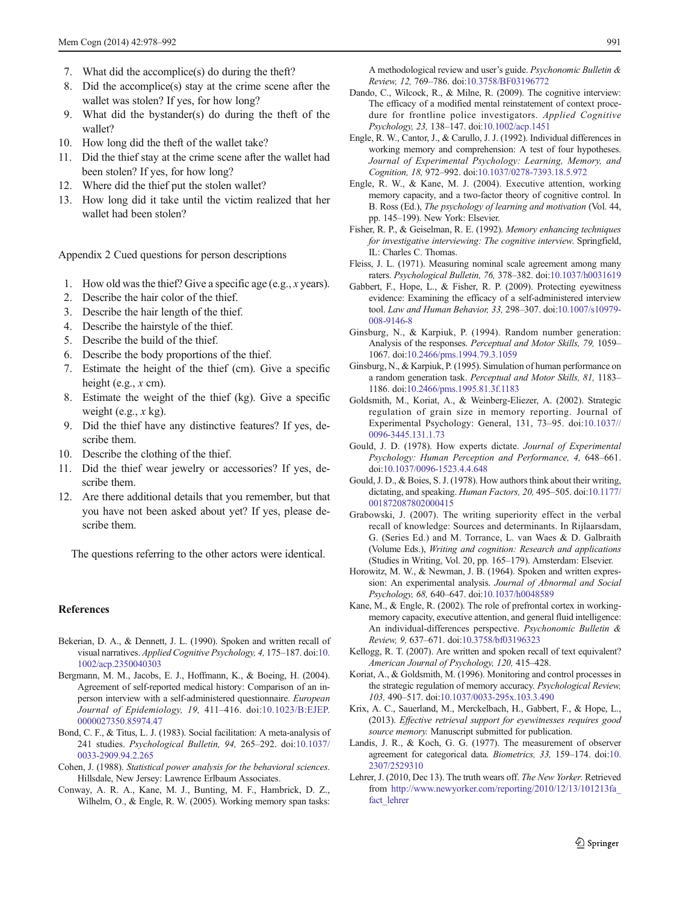- <span id="page-14-0"></span>7. What did the accomplice(s) do during the theft?
- 8. Did the accomplice(s) stay at the crime scene after the wallet was stolen? If yes, for how long?
- 9. What did the bystander(s) do during the theft of the wallet?
- 10. How long did the theft of the wallet take?
- 11. Did the thief stay at the crime scene after the wallet had been stolen? If yes, for how long?
- 12. Where did the thief put the stolen wallet?
- 13. How long did it take until the victim realized that her wallet had been stolen?

Appendix 2 Cued questions for person descriptions

- 1. How old was the thief? Give a specific age (e.g., x years).
- 2. Describe the hair color of the thief.
- 3. Describe the hair length of the thief.
- 4. Describe the hairstyle of the thief.
- 5. Describe the build of the thief.
- 6. Describe the body proportions of the thief.
- 7. Estimate the height of the thief (cm). Give a specific height (e.g.,  $x$  cm).
- 8. Estimate the weight of the thief (kg). Give a specific weight (e.g.,  $x$  kg).
- 9. Did the thief have any distinctive features? If yes, describe them.
- 10. Describe the clothing of the thief.
- 11. Did the thief wear jewelry or accessories? If yes, describe them.
- 12. Are there additional details that you remember, but that you have not been asked about yet? If yes, please describe them.

The questions referring to the other actors were identical.

# References

- Bekerian, D. A., & Dennett, J. L. (1990). Spoken and written recall of visual narratives. Applied Cognitive Psychology, 4, 175–187. doi:[10.](http://dx.doi.org/10.1002/acp.2350040303) [1002/acp.2350040303](http://dx.doi.org/10.1002/acp.2350040303)
- Bergmann, M. M., Jacobs, E. J., Hoffmann, K., & Boeing, H. (2004). Agreement of self-reported medical history: Comparison of an inperson interview with a self-administered questionnaire. European Journal of Epidemiology, 19, 411–416. doi:[10.1023/B:EJEP.](http://dx.doi.org/10.1023/B:EJEP.0000027350.85974.47) [0000027350.85974.47](http://dx.doi.org/10.1023/B:EJEP.0000027350.85974.47)
- Bond, C. F., & Titus, L. J. (1983). Social facilitation: A meta-analysis of 241 studies. Psychological Bulletin, 94, 265–292. doi[:10.1037/](http://dx.doi.org/10.1037/0033-2909.94.2.265) [0033-2909.94.2.265](http://dx.doi.org/10.1037/0033-2909.94.2.265)
- Cohen, J. (1988). Statistical power analysis for the behavioral sciences. Hillsdale, New Jersey: Lawrence Erlbaum Associates.
- Conway, A. R. A., Kane, M. J., Bunting, M. F., Hambrick, D. Z., Wilhelm, O., & Engle, R. W. (2005). Working memory span tasks:

A methodological review and user's guide. Psychonomic Bulletin & Review, 12, 769–786. doi[:10.3758/BF03196772](http://dx.doi.org/10.3758/BF03196772)

- Dando, C., Wilcock, R., & Milne, R. (2009). The cognitive interview: The efficacy of a modified mental reinstatement of context procedure for frontline police investigators. Applied Cognitive Psychology, 23, 138–147. doi[:10.1002/acp.1451](http://dx.doi.org/10.1002/acp.1451)
- Engle, R. W., Cantor, J., & Carullo, J. J. (1992). Individual differences in working memory and comprehension: A test of four hypotheses. Journal of Experimental Psychology: Learning, Memory, and Cognition, 18, 972–992. doi:[10.1037/0278-7393.18.5.972](http://dx.doi.org/10.1037/0278-7393.18.5.972)
- Engle, R. W., & Kane, M. J. (2004). Executive attention, working memory capacity, and a two-factor theory of cognitive control. In B. Ross (Ed.), The psychology of learning and motivation (Vol. 44, pp. 145–199). New York: Elsevier.
- Fisher, R. P., & Geiselman, R. E. (1992). Memory enhancing techniques for investigative interviewing: The cognitive interview. Springfield, IL: Charles C. Thomas.
- Fleiss, J. L. (1971). Measuring nominal scale agreement among many raters. Psychological Bulletin, 76, 378–382. doi[:10.1037/h0031619](http://dx.doi.org/10.1037/h0031619)
- Gabbert, F., Hope, L., & Fisher, R. P. (2009). Protecting eyewitness evidence: Examining the efficacy of a self-administered interview tool. Law and Human Behavior, 33, 298–307. doi:[10.1007/s10979-](http://dx.doi.org/10.1007/s10979-008-9146-8) [008-9146-8](http://dx.doi.org/10.1007/s10979-008-9146-8)
- Ginsburg, N., & Karpiuk, P. (1994). Random number generation: Analysis of the responses. Perceptual and Motor Skills, 79, 1059– 1067. doi:[10.2466/pms.1994.79.3.1059](http://dx.doi.org/10.2466/pms.1994.79.3.1059)
- Ginsburg, N., & Karpiuk, P. (1995). Simulation of human performance on a random generation task. Perceptual and Motor Skills, 81, 1183– 1186. doi[:10.2466/pms.1995.81.3f.1183](http://dx.doi.org/10.2466/pms.1995.81.3f.1183)
- Goldsmith, M., Koriat, A., & Weinberg-Eliezer, A. (2002). Strategic regulation of grain size in memory reporting. Journal of Experimental Psychology: General, 131, 73–95. doi:[10.1037//](http://dx.doi.org/10.1037//0096-3445.131.1.73) [0096-3445.131.1.73](http://dx.doi.org/10.1037//0096-3445.131.1.73)
- Gould, J. D. (1978). How experts dictate. Journal of Experimental Psychology: Human Perception and Performance, 4, 648–661. doi:[10.1037/0096-1523.4.4.648](http://dx.doi.org/10.1037/0096-1523.4.4.648)
- Gould, J. D., & Boies, S. J. (1978). How authors think about their writing, dictating, and speaking. Human Factors, 20, 495–505. doi[:10.1177/](http://dx.doi.org/10.1177/001872087802000415) [001872087802000415](http://dx.doi.org/10.1177/001872087802000415)
- Grabowski, J. (2007). The writing superiority effect in the verbal recall of knowledge: Sources and determinants. In Rijlaarsdam, G. (Series Ed.) and M. Torrance, L. van Waes & D. Galbraith (Volume Eds.), Writing and cognition: Research and applications (Studies in Writing, Vol. 20, pp. 165–179). Amsterdam: Elsevier.
- Horowitz, M. W., & Newman, J. B. (1964). Spoken and written expression: An experimental analysis. Journal of Abnormal and Social Psychology, 68, 640–647. doi[:10.1037/h0048589](http://dx.doi.org/10.1037/h0048589)
- Kane, M., & Engle, R. (2002). The role of prefrontal cortex in workingmemory capacity, executive attention, and general fluid intelligence: An individual-differences perspective. Psychonomic Bulletin & Review, 9, 637–671. doi:[10.3758/bf03196323](http://dx.doi.org/10.3758/bf03196323)
- Kellogg, R. T. (2007). Are written and spoken recall of text equivalent? American Journal of Psychology, 120, 415–428.
- Koriat, A., & Goldsmith, M. (1996). Monitoring and control processes in the strategic regulation of memory accuracy. Psychological Review, 103, 490–517. doi:[10.1037/0033-295x.103.3.490](http://dx.doi.org/10.1037/0033-295x.103.3.490)
- Krix, A. C., Sauerland, M., Merckelbach, H., Gabbert, F., & Hope, L., (2013). Effective retrieval support for eyewitnesses requires good source memory. Manuscript submitted for publication.
- Landis, J. R., & Koch, G. G. (1977). The measurement of observer agreement for categorical data. Biometrics, 33, 159–174. doi[:10.](http://dx.doi.org/10.2307/2529310) [2307/2529310](http://dx.doi.org/10.2307/2529310)
- Lehrer, J. (2010, Dec 13). The truth wears off. The New Yorker. Retrieved from [http://www.newyorker.com/reporting/2010/12/13/101213fa\\_](http://www.newyorker.com/reporting/2010/12/13/101213fa_fact_lehrer) fact lehrer